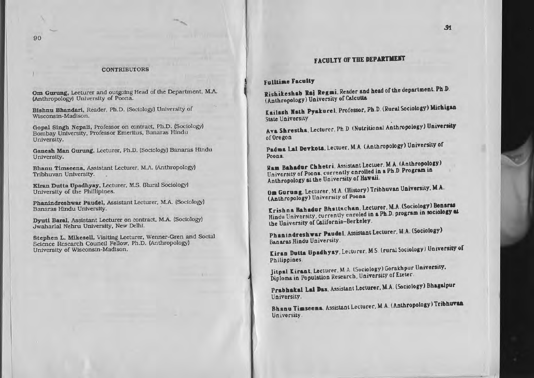#### **CONTRIBUTORS**

Om Gurung, Lecturer and outgoing Head of the Department. M.A. (Anthropology) University of Poona.

Bishnu Bhandari, Reader, Ph.D. (Sociology) University of Wisconsin-Madison.

Gopal Singh Nepali, Professor on contract, Ph.D. (Sociology) Bombay University, Professor Emeritus, Banaras Hindu University.

Ganesh Man Gurung, Lecturer, Ph.D. (Sociology) Banaras Hindu University.

Bhanu Timseena, Assistant Lecturer, M.A. (Anthropology) Tribhuvan University.

Kiran Dutta Upadhyay, Lecturer, M.S. (Rural Sociology) University of the Phillipines.

Phanindreshwar Paudel, Assistant Lecturer, M.A. (Sociology) Banaras Hindu University.

Dyuti Baral, Assistant Lecturer on contract, M.A. (Sociology) Jwaharlal Nehru University, New Delhi.

Stephen L. Mikesell, Visiting Lecturer, Wenner-Gren and Social Science Research Council Fellow, Ph.D. (Anthropology) University of Wisconsin-Madison.

# **FACULTY OF THE DEPARTMENT**

#### **Fulltime Faculty**

Rishikeshab Raj Regmi. Reader and head of the department. Ph.D. (Anthropology) University of Calcutta

Kailash Nath Pyakurel, Professor, Ph.D. (Rural Sociology) Michigan **State University** 

Ava Shrestha, Lecturer, Ph D (Nutritional Anthropology) University of Oregon

Padma Lai Devkota, Lectuer, M.A. (Anthropology) University of Poona.

Ram Bahadur Chhetri. Assistant Lectuer. M.A. (Anthropology) University of Poons, currently enrolled in a Ph.D. Program in Anthropology at the University of Hawaii.

Om Gurung, Lecturer, M.A. (History) Tribhuvan University, M.A. (Anthropology) University of Poona

Krishna Bahadur Bhattachan, Lecturer, M.A. (Sociology) Benaras Hindu University, currently enroled in a Ph.D. program in sociology at the University of California-Berkeley.

Phanindreshwar Paudel, Assistant Lecturer, M.A. (Sociology) Banaras Hindu University.

Kiran Dutta Upadhyay, Lecturer, M.S. (rural Sociology) University of Philippines.

Jitpal Kirant, Lecturer, M A. (Sociology) Gorakhpur University. Diploma in Population Research, University of Exeter.

Prabhakal Lal Das, Assistant Lecturer, M.A. (Sociology) Bhagalpur liniversity.

Bhanu Timseena, Assistant Lecturer, M.A. (Anthropology) Tribhuvan University.